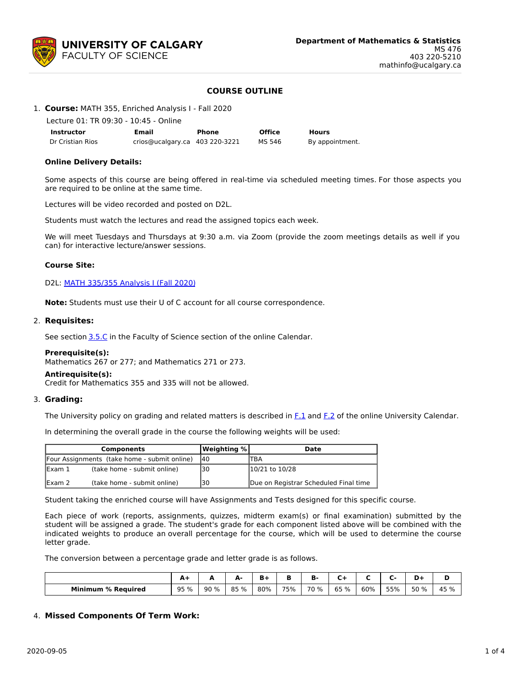

# **COURSE OUTLINE**

|  |  | 1. Course: MATH 355, Enriched Analysis I - Fall 2020 |
|--|--|------------------------------------------------------|
|  |  |                                                      |

Lecture 01: TR 09:30 - 10:45 - Online

| <b>Instructor</b> | Email                          | Phone | <b>Office</b> | <b>Hours</b>    |
|-------------------|--------------------------------|-------|---------------|-----------------|
| Dr Cristian Rios  | crios@ucalgary.ca 403 220-3221 |       | MS 546        | By appointment. |

## **Online Delivery Details:**

Some aspects of this course are being offered in real-time via scheduled meeting times. For those aspects you are required to be online at the same time.

Lectures will be video recorded and posted on D2L.

Students must watch the lectures and read the assigned topics each week.

We will meet Tuesdays and Thursdays at 9:30 a.m. via Zoom (provide the zoom meetings details as well if you can) for interactive lecture/answer sessions.

## **Course Site:**

D2L: MATH [335/355](https://d2l.ucalgary.ca/d2l/home/325645) Analysis I (Fall 2020)

**Note:** Students must use their U of C account for all course correspondence.

## 2. **Requisites:**

See section [3.5.C](http://www.ucalgary.ca/pubs/calendar/current/sc-3-5.html) in the Faculty of Science section of the online Calendar.

#### **Prerequisite(s):**

Mathematics 267 or 277; and Mathematics 271 or 273.

#### **Antirequisite(s):**

Credit for Mathematics 355 and 335 will not be allowed.

## 3. **Grading:**

The University policy on grading and related matters is described in [F.1](http://www.ucalgary.ca/pubs/calendar/current/f-1.html) and [F.2](http://www.ucalgary.ca/pubs/calendar/current/f-2.html) of the online University Calendar.

In determining the overall grade in the course the following weights will be used:

|         | <b>Components</b>                            | <b>Weighting %</b> | Date                                  |
|---------|----------------------------------------------|--------------------|---------------------------------------|
|         | Four Assignments (take home - submit online) | 140                | TBA                                   |
| lExam 1 | (take home - submit online)                  | 130                | 10/21 to 10/28                        |
| lExam 2 | (take home - submit online)                  | 130                | Due on Registrar Scheduled Final time |

Student taking the enriched course will have Assignments and Tests designed for this specific course.

Each piece of work (reports, assignments, quizzes, midterm exam(s) or final examination) submitted by the student will be assigned a grade. The student's grade for each component listed above will be combined with the indicated weights to produce an overall percentage for the course, which will be used to determine the course letter grade.

The conversion between a percentage grade and letter grade is as follows.

|                           | --   |      | А-   | ъ.<br>ъ. |     | B.   | $\overline{\phantom{0}}$ |     |     |      |      |
|---------------------------|------|------|------|----------|-----|------|--------------------------|-----|-----|------|------|
| <b>Minimum % Required</b> | 95 % | 90 % | 85 % | 80%      | 75% | 70 % | 65<br>%                  | 60% | 55% | 50 % | 45 % |

## 4. **Missed Components Of Term Work:**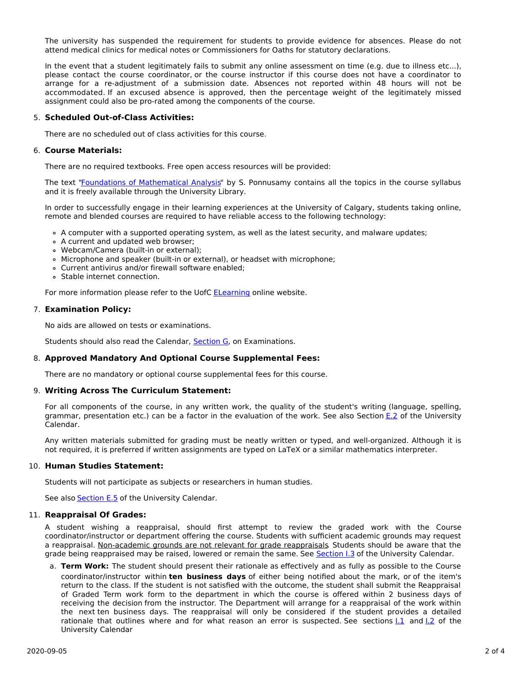The university has suspended the requirement for students to provide evidence for absences. Please do not attend medical clinics for medical notes or Commissioners for Oaths for statutory declarations.

In the event that a student legitimately fails to submit any online assessment on time (e.g. due to illness etc...), please contact the course coordinator, or the course instructor if this course does not have a coordinator to arrange for a re-adjustment of a submission date. Absences not reported within 48 hours will not be accommodated. If an excused absence is approved, then the percentage weight of the legitimately missed assignment could also be pro-rated among the components of the course.

## 5. **Scheduled Out-of-Class Activities:**

There are no scheduled out of class activities for this course.

## 6. **Course Materials:**

There are no required textbooks. Free open access resources will be provided:

The text "Foundations of [Mathematical](https://ucalgary-primo.hosted.exlibrisgroup.com/primo-explore/fulldisplay?docid=TN_cdi_askewsholts_vlebooks_9780817682927&context=PC&vid=UCALGARY&lang=en_US&search_scope=EVERYTHING&adaptor=primo_central_multiple_fe&tab=everything&query=any,contains,Foundations%20of%20Mathematical%20Analysis) Analysis" by S. Ponnusamy contains all the topics in the course syllabus and it is freely available through the University Library.

In order to successfully engage in their learning experiences at the University of Calgary, students taking online, remote and blended courses are required to have reliable access to the following technology:

- A computer with a supported operating system, as well as the latest security, and malware updates;
- A current and updated web browser;
- Webcam/Camera (built-in or external);
- Microphone and speaker (built-in or external), or headset with microphone;
- Current antivirus and/or firewall software enabled;
- Stable internet connection.

For more information please refer to the UofC [ELearning](https://elearn.ucalgary.ca/technology-requirements-for-students) online website.

#### 7. **Examination Policy:**

No aids are allowed on tests or examinations.

Students should also read the Calendar, [Section](http://www.ucalgary.ca/pubs/calendar/current/g.html) G, on Examinations.

#### 8. **Approved Mandatory And Optional Course Supplemental Fees:**

There are no mandatory or optional course supplemental fees for this course.

#### 9. **Writing Across The Curriculum Statement:**

For all components of the course, in any written work, the quality of the student's writing (language, spelling, grammar, presentation etc.) can be a factor in the evaluation of the work. See also Section [E.2](http://www.ucalgary.ca/pubs/calendar/current/e-2.html) of the University Calendar.

Any written materials submitted for grading must be neatly written or typed, and well-organized. Although it is not required, it is preferred if written assignments are typed on LaTeX or a similar mathematics interpreter.

## 10. **Human Studies Statement:**

Students will not participate as subjects or researchers in human studies.

See also [Section](http://www.ucalgary.ca/pubs/calendar/current/e-5.html) E.5 of the University Calendar.

#### 11. **Reappraisal Of Grades:**

A student wishing a reappraisal, should first attempt to review the graded work with the Course coordinator/instructor or department offering the course. Students with sufficient academic grounds may request a reappraisal. Non-academic grounds are not relevant for grade reappraisals. Students should be aware that the grade being reappraised may be raised, lowered or remain the same. See [Section](http://www.ucalgary.ca/pubs/calendar/current/i-3.html) I.3 of the University Calendar.

a. **Term Work:** The student should present their rationale as effectively and as fully as possible to the Course coordinator/instructor within **ten business days** of either being notified about the mark, or of the item's return to the class. If the student is not satisfied with the outcome, the student shall submit the Reappraisal of Graded Term work form to the department in which the course is offered within 2 business days of receiving the decision from the instructor. The Department will arrange for a reappraisal of the work within the next ten business days. The reappraisal will only be considered if the student provides a detailed rationale that outlines where and for what reason an error is suspected. See sections 1.1 and 1.2 of the University Calendar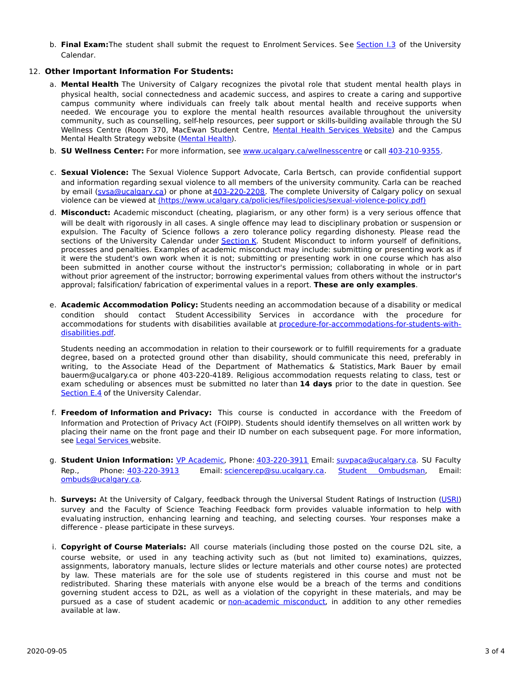b. **Final Exam:**The student shall submit the request to Enrolment Services. See [Section](http://www.ucalgary.ca/pubs/calendar/current/i-3.html) I.3 of the University Calendar.

# 12. **Other Important Information For Students:**

- a. **Mental Health** The University of Calgary recognizes the pivotal role that student mental health plays in physical health, social connectedness and academic success, and aspires to create a caring and supportive campus community where individuals can freely talk about mental health and receive supports when needed. We encourage you to explore the mental health resources available throughout the university community, such as counselling, self-help resources, peer support or skills-building available through the SU Wellness Centre (Room 370, MacEwan Student Centre, Mental Health [Services](https://www.ucalgary.ca/wellnesscentre/services/mental-health-services) Website) and the Campus Mental Health Strategy website [\(Mental](http://www.ucalgary.ca/mentalhealth) Health).
- b. **SU Wellness Center:** For more information, see [www.ucalgary.ca/wellnesscentre](http://www.ucalgary.ca/wellnesscentre) or call [403-210-9355](tel:4032109355).
- c. **Sexual Violence:** The Sexual Violence Support Advocate, Carla Bertsch, can provide confidential support and information regarding sexual violence to all members of the university community. Carla can be reached by email [\(svsa@ucalgary.ca](mailto:svsa@ucalgary.ca)) or phone at[403-220-2208](tel:4032202208). The complete University of Calgary policy on sexual violence can be viewed at [\(https://www.ucalgary.ca/policies/files/policies/sexual-violence-policy.pdf\)](https://www.ucalgary.ca/policies/files/policies/sexual-violence-policy.pdf)
- d. **Misconduct:** Academic misconduct (cheating, plagiarism, or any other form) is a very serious offence that will be dealt with rigorously in all cases. A single offence may lead to disciplinary probation or suspension or expulsion. The Faculty of Science follows a zero tolerance policy regarding dishonesty. Please read the sections of the University Calendar under [Section](http://www.ucalgary.ca/pubs/calendar/current/k.html) K. Student Misconduct to inform yourself of definitions, processes and penalties. Examples of academic misconduct may include: submitting or presenting work as if it were the student's own work when it is not; submitting or presenting work in one course which has also been submitted in another course without the instructor's permission; collaborating in whole or in part without prior agreement of the instructor; borrowing experimental values from others without the instructor's approval; falsification/ fabrication of experimental values in a report. **These are only examples**.
- e. **Academic Accommodation Policy:** Students needing an accommodation because of a disability or medical condition should contact Student Accessibility Services in accordance with the procedure for accommodations for students with disabilities available at [procedure-for-accommodations-for-students-with](http://www.ucalgary.ca/policies/files/policies/procedure-for-accommodations-for-students-with-disabilities_0.pdf)disabilities.pdf.

Students needing an accommodation in relation to their coursework or to fulfill requirements for a graduate degree, based on a protected ground other than disability, should communicate this need, preferably in writing, to the Associate Head of the Department of Mathematics & Statistics, Mark Bauer by email bauerm@ucalgary.ca or phone 403-220-4189. Religious accommodation requests relating to class, test or exam scheduling or absences must be submitted no later than **14 days** prior to the date in question. See [Section](http://www.ucalgary.ca/pubs/calendar/current/e-4.html) E.4 of the University Calendar.

- f. **Freedom of Information and Privacy:** This course is conducted in accordance with the Freedom of Information and Protection of Privacy Act (FOIPP). Students should identify themselves on all written work by placing their name on the front page and their ID number on each subsequent page. For more information, see Legal [Services](http://www.ucalgary.ca/legalservices/foip) website.
- g. **Student Union Information:** VP [Academic](http://www.su.ucalgary.ca/contact), Phone: [403-220-3911](tel:4032203911) Email: [suvpaca@ucalgary.ca](mailto:suvpaca@ucalgary.ca). SU Faculty Rep., Phone: [403-220-3913](tel:4032203913) Email: [sciencerep@su.ucalgary.ca](mailto:sciencerep@su.ucalgary.ca). Student [Ombudsman](https://www.ucalgary.ca/ombuds/), Email: [ombuds@ucalgary.ca](mailto:%20ombuds@ucalgary.ca).
- h. **Surveys:** At the University of Calgary, feedback through the Universal Student Ratings of Instruction [\(USRI](http://www.ucalgary.ca/usri)) survey and the Faculty of Science Teaching Feedback form provides valuable information to help with evaluating instruction, enhancing learning and teaching, and selecting courses. Your responses make a difference - please participate in these surveys.
- i. **Copyright of Course Materials:** All course materials (including those posted on the course D2L site, a course website, or used in any teaching activity such as (but not limited to) examinations, quizzes, assignments, laboratory manuals, lecture slides or lecture materials and other course notes) are protected by law. These materials are for the sole use of students registered in this course and must not be redistributed. Sharing these materials with anyone else would be a breach of the terms and conditions governing student access to D2L, as well as a violation of the copyright in these materials, and may be pursued as a case of student academic or [non-academic](https://www.ucalgary.ca/conduct/policy/non-academic-misconduct-policy) misconduct, in addition to any other remedies available at law.